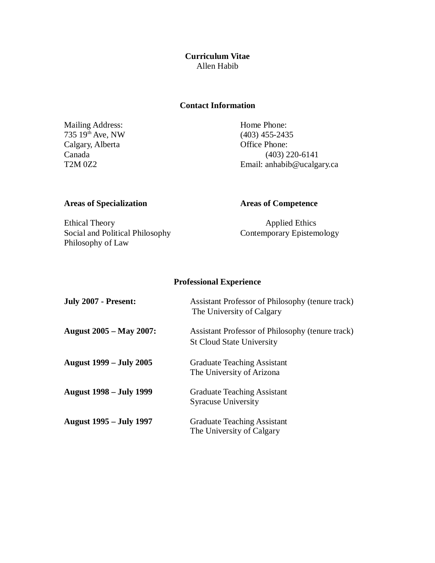**Curriculum Vitae** Allen Habib

### **Contact Information**

Mailing Address: Home Phone: Home Phone: (403) 455-2435  $735 \, 19^{th}$  Ave, NW (403) 455-243.<br>Calgary, Alberta Office Phone: Calgary, Alberta<br>Canada

 $(403)$  220-6141 T2M 0Z2 Email: anhabib@ucalgary.ca

# **Areas of Specialization Areas of Competence**

Ethical Theory Applied Ethics<br>
Social and Political Philosophy Contemporary Epistemology Social and Political Philosophy Philosophy of Law

# **Professional Experience**

| <b>July 2007 - Present:</b>    | Assistant Professor of Philosophy (tenure track)<br>The University of Calgary        |
|--------------------------------|--------------------------------------------------------------------------------------|
| <b>August 2005 – May 2007:</b> | Assistant Professor of Philosophy (tenure track)<br><b>St Cloud State University</b> |
| <b>August 1999 – July 2005</b> | <b>Graduate Teaching Assistant</b><br>The University of Arizona                      |
| <b>August 1998 – July 1999</b> | <b>Graduate Teaching Assistant</b><br><b>Syracuse University</b>                     |
| <b>August 1995 – July 1997</b> | <b>Graduate Teaching Assistant</b><br>The University of Calgary                      |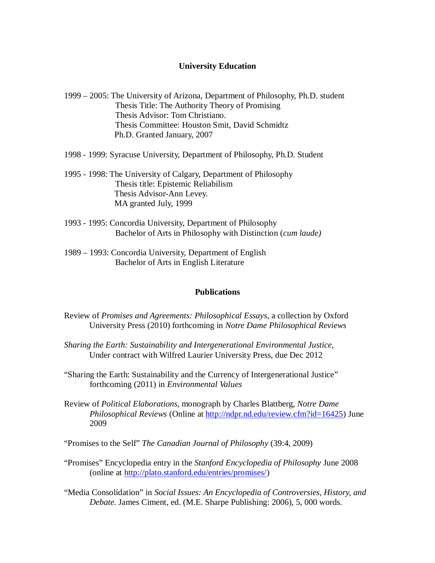### **University Education**

- 1999 2005: The University of Arizona, Department of Philosophy, Ph.D. student Thesis Title: The Authority Theory of Promising Thesis Advisor: Tom Christiano. Thesis Committee: Houston Smit, David Schmidtz Ph.D. Granted January, 2007
- 1998 1999: Syracuse University, Department of Philosophy, Ph.D. Student
- 1995 1998: The University of Calgary, Department of Philosophy Thesis title: Epistemic Reliabilism Thesis Advisor-Ann Levey. MA granted July, 1999
- 1993 1995: Concordia University, Department of Philosophy Bachelor of Arts in Philosophy with Distinction (*cum laude)*
- 1989 1993: Concordia University, Department of English Bachelor of Arts in English Literature

#### **Publications**

- Review of *Promises and Agreements: Philosophical Essays*, a collection by Oxford University Press (2010) forthcoming in *Notre Dame Philosophical Reviews*
- *Sharing the Earth: Sustainability and Intergenerational Environmental Justice,*  Under contract with Wilfred Laurier University Press, due Dec 2012
- "Sharing the Earth: Sustainability and the Currency of Intergenerational Justice" forthcoming (2011) in *Environmental Values*
- Review of *Political Elaborations*, monograph by Charles Blattberg, *Notre Dame Philosophical Reviews* (Online at http://ndpr.nd.edu/review.cfm?id=16425) June 2009
- "Promises to the Self" *The Canadian Journal of Philosophy* (39:4, 2009)
- "Promises" Encyclopedia entry in the *Stanford Encyclopedia of Philosophy* June 2008 (online at http://plato.stanford.edu/entries/promises/)
- "Media Consolidation" in *Social Issues: An Encyclopedia of Controversies, History, and Debate.* James Ciment, ed. (M.E. Sharpe Publishing: 2006), 5, 000 words.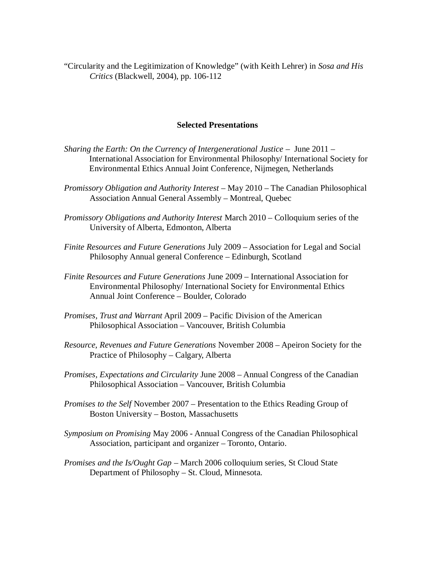"Circularity and the Legitimization of Knowledge" (with Keith Lehrer) in *Sosa and His Critics* (Blackwell, 2004), pp. 106-112

# **Selected Presentations**

- *Sharing the Earth: On the Currency of Intergenerational Justice* June 2011 International Association for Environmental Philosophy/ International Society for Environmental Ethics Annual Joint Conference, Nijmegen, Netherlands
- *Promissory Obligation and Authority Interest* May 2010 The Canadian Philosophical Association Annual General Assembly – Montreal, Quebec
- *Promissory Obligations and Authority Interest* March 2010 Colloquium series of the University of Alberta, Edmonton, Alberta
- *Finite Resources and Future Generations* July 2009 Association for Legal and Social Philosophy Annual general Conference – Edinburgh, Scotland
- *Finite Resources and Future Generations* June 2009 International Association for Environmental Philosophy/ International Society for Environmental Ethics Annual Joint Conference – Boulder, Colorado
- *Promises, Trust and Warrant* April 2009 Pacific Division of the American Philosophical Association – Vancouver, British Columbia
- *Resource, Revenues and Future Generations* November 2008 Apeiron Society for the Practice of Philosophy – Calgary, Alberta
- *Promises, Expectations and Circularity* June 2008 Annual Congress of the Canadian Philosophical Association – Vancouver, British Columbia
- *Promises to the Self* November 2007 Presentation to the Ethics Reading Group of Boston University – Boston, Massachusetts
- *Symposium on Promising* May 2006 Annual Congress of the Canadian Philosophical Association, participant and organizer – Toronto, Ontario.
- *Promises and the Is/Ought Gap* March 2006 colloquium series, St Cloud State Department of Philosophy – St. Cloud, Minnesota.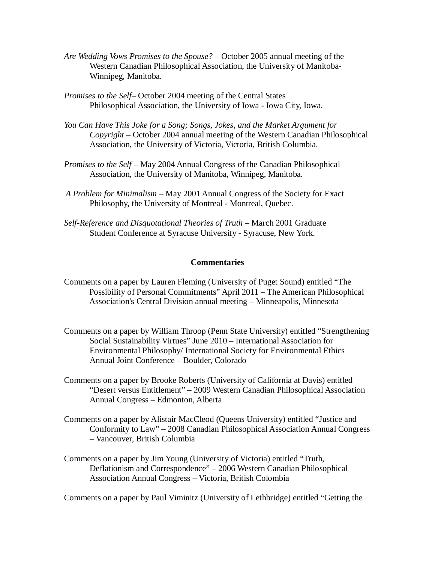- *Are Wedding Vows Promises to the Spouse?* October 2005 annual meeting of the Western Canadian Philosophical Association, the University of Manitoba-Winnipeg, Manitoba.
- *Promises to the Self–* October 2004 meeting of the Central States Philosophical Association, the University of Iowa - Iowa City, Iowa.
- *You Can Have This Joke for a Song; Songs, Jokes, and the Market Argument for Copyright –* October 2004 annual meeting of the Western Canadian Philosophical Association, the University of Victoria, Victoria, British Columbia.
- *Promises to the Self* May 2004 Annual Congress of the Canadian Philosophical Association, the University of Manitoba, Winnipeg, Manitoba.
- *A Problem for Minimalism* May 2001 Annual Congress of the Society for Exact Philosophy, the University of Montreal - Montreal, Quebec.
- *Self-Reference and Disquotational Theories of Truth* March 2001 Graduate Student Conference at Syracuse University - Syracuse, New York.

#### **Commentaries**

- Comments on a paper by Lauren Fleming (University of Puget Sound) entitled "The Possibility of Personal Commitments" April 2011 – The American Philosophical Association's Central Division annual meeting – Minneapolis, Minnesota
- Comments on a paper by William Throop (Penn State University) entitled "Strengthening Social Sustainability Virtues" June 2010 – International Association for Environmental Philosophy/ International Society for Environmental Ethics Annual Joint Conference – Boulder, Colorado
- Comments on a paper by Brooke Roberts (University of California at Davis) entitled "Desert versus Entitlement" – 2009 Western Canadian Philosophical Association Annual Congress – Edmonton, Alberta
- Comments on a paper by Alistair MacCleod (Queens University) entitled "Justice and Conformity to Law" – 2008 Canadian Philosophical Association Annual Congress – Vancouver, British Columbia
- Comments on a paper by Jim Young (University of Victoria) entitled "Truth, Deflationism and Correspondence" – 2006 Western Canadian Philosophical Association Annual Congress – Victoria, British Colombia

Comments on a paper by Paul Viminitz (University of Lethbridge) entitled "Getting the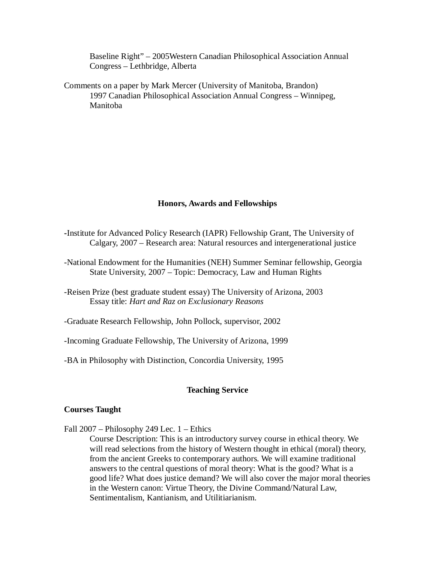Baseline Right" – 2005Western Canadian Philosophical Association Annual Congress – Lethbridge, Alberta

Comments on a paper by Mark Mercer (University of Manitoba, Brandon) 1997 Canadian Philosophical Association Annual Congress – Winnipeg, Manitoba

#### **Honors, Awards and Fellowships**

- **-**Institute for Advanced Policy Research (IAPR) Fellowship Grant, The University of Calgary, 2007 – Research area: Natural resources and intergenerational justice
- -National Endowment for the Humanities (NEH) Summer Seminar fellowship, Georgia State University, 2007 – Topic: Democracy, Law and Human Rights
- -Reisen Prize (best graduate student essay) The University of Arizona, 2003 Essay title: *Hart and Raz on Exclusionary Reasons*
- -Graduate Research Fellowship, John Pollock, supervisor, 2002
- -Incoming Graduate Fellowship, The University of Arizona, 1999
- -BA in Philosophy with Distinction, Concordia University, 1995

#### **Teaching Service**

#### **Courses Taught**

Fall 2007 – Philosophy 249 Lec. 1 – Ethics

Course Description: This is an introductory survey course in ethical theory. We will read selections from the history of Western thought in ethical (moral) theory, from the ancient Greeks to contemporary authors. We will examine traditional answers to the central questions of moral theory: What is the good? What is a good life? What does justice demand? We will also cover the major moral theories in the Western canon: Virtue Theory, the Divine Command/Natural Law, Sentimentalism, Kantianism, and Utilitiarianism.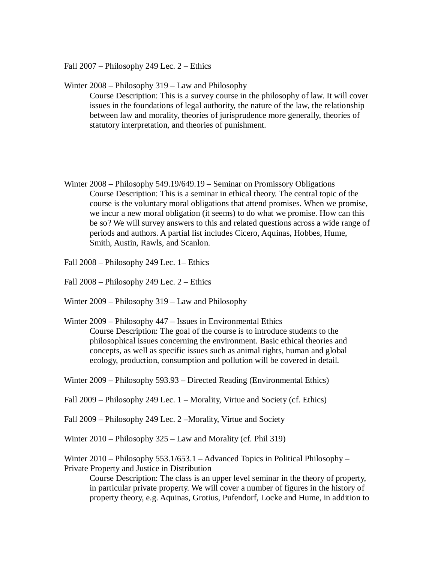Fall 2007 – Philosophy 249 Lec. 2 – Ethics

Winter 2008 – Philosophy 319 – Law and Philosophy Course Description: This is a survey course in the philosophy of law. It will cover issues in the foundations of legal authority, the nature of the law, the relationship between law and morality, theories of jurisprudence more generally, theories of statutory interpretation, and theories of punishment.

- Winter 2008 Philosophy 549.19/649.19 Seminar on Promissory Obligations Course Description: This is a seminar in ethical theory. The central topic of the course is the voluntary moral obligations that attend promises. When we promise, we incur a new moral obligation (it seems) to do what we promise. How can this be so? We will survey answers to this and related questions across a wide range of periods and authors. A partial list includes Cicero, Aquinas, Hobbes, Hume, Smith, Austin, Rawls, and Scanlon.
- Fall 2008 Philosophy 249 Lec. 1– Ethics
- Fall 2008 Philosophy 249 Lec. 2 Ethics
- Winter 2009 Philosophy 319 Law and Philosophy
- Winter 2009 Philosophy 447 Issues in Environmental Ethics Course Description: The goal of the course is to introduce students to the philosophical issues concerning the environment. Basic ethical theories and concepts, as well as specific issues such as animal rights, human and global ecology, production, consumption and pollution will be covered in detail.
- Winter 2009 Philosophy 593.93 Directed Reading (Environmental Ethics)
- Fall 2009 Philosophy 249 Lec. 1 Morality, Virtue and Society (cf. Ethics)
- Fall 2009 Philosophy 249 Lec. 2 –Morality, Virtue and Society
- Winter 2010 Philosophy 325 Law and Morality (cf. Phil 319)

Winter 2010 – Philosophy 553.1/653.1 – Advanced Topics in Political Philosophy – Private Property and Justice in Distribution

Course Description: The class is an upper level seminar in the theory of property, in particular private property. We will cover a number of figures in the history of property theory, e.g. Aquinas, Grotius, Pufendorf, Locke and Hume, in addition to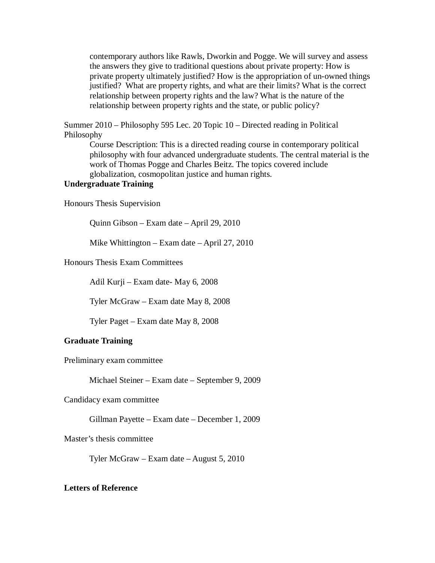contemporary authors like Rawls, Dworkin and Pogge. We will survey and assess the answers they give to traditional questions about private property: How is private property ultimately justified? How is the appropriation of un-owned things justified? What are property rights, and what are their limits? What is the correct relationship between property rights and the law? What is the nature of the relationship between property rights and the state, or public policy?

Summer 2010 – Philosophy 595 Lec. 20 Topic 10 – Directed reading in Political Philosophy

Course Description: This is a directed reading course in contemporary political philosophy with four advanced undergraduate students. The central material is the work of Thomas Pogge and Charles Beitz. The topics covered include globalization, cosmopolitan justice and human rights.

# **Undergraduate Training**

Honours Thesis Supervision

Quinn Gibson – Exam date – April 29, 2010

Mike Whittington – Exam date – April 27, 2010

Honours Thesis Exam Committees

Adil Kurji – Exam date- May 6, 2008

Tyler McGraw – Exam date May 8, 2008

Tyler Paget – Exam date May 8, 2008

## **Graduate Training**

Preliminary exam committee

Michael Steiner – Exam date – September 9, 2009

Candidacy exam committee

Gillman Payette – Exam date – December 1, 2009

Master's thesis committee

Tyler McGraw – Exam date – August 5, 2010

#### **Letters of Reference**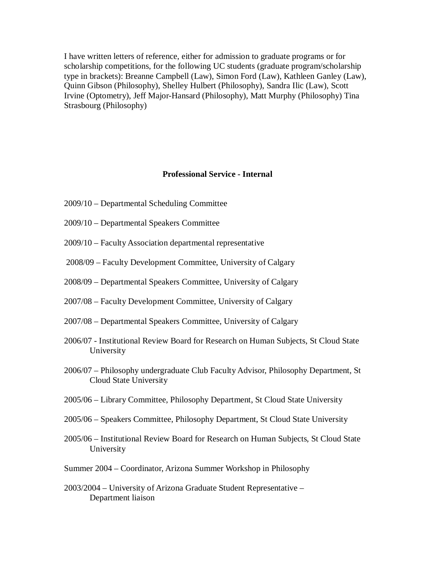I have written letters of reference, either for admission to graduate programs or for scholarship competitions, for the following UC students (graduate program/scholarship type in brackets): Breanne Campbell (Law), Simon Ford (Law), Kathleen Ganley (Law), Quinn Gibson (Philosophy), Shelley Hulbert (Philosophy), Sandra Ilic (Law), Scott Irvine (Optometry), Jeff Major-Hansard (Philosophy), Matt Murphy (Philosophy) Tina Strasbourg (Philosophy)

# **Professional Service - Internal**

- 2009/10 Departmental Scheduling Committee
- 2009/10 Departmental Speakers Committee
- 2009/10 Faculty Association departmental representative
- 2008/09 Faculty Development Committee, University of Calgary
- 2008/09 Departmental Speakers Committee, University of Calgary
- 2007/08 Faculty Development Committee, University of Calgary
- 2007/08 Departmental Speakers Committee, University of Calgary
- 2006/07 Institutional Review Board for Research on Human Subjects, St Cloud State University
- 2006/07 Philosophy undergraduate Club Faculty Advisor, Philosophy Department, St Cloud State University
- 2005/06 Library Committee, Philosophy Department, St Cloud State University
- 2005/06 Speakers Committee, Philosophy Department, St Cloud State University
- 2005/06 Institutional Review Board for Research on Human Subjects, St Cloud State University
- Summer 2004 Coordinator, Arizona Summer Workshop in Philosophy
- 2003/2004 University of Arizona Graduate Student Representative Department liaison